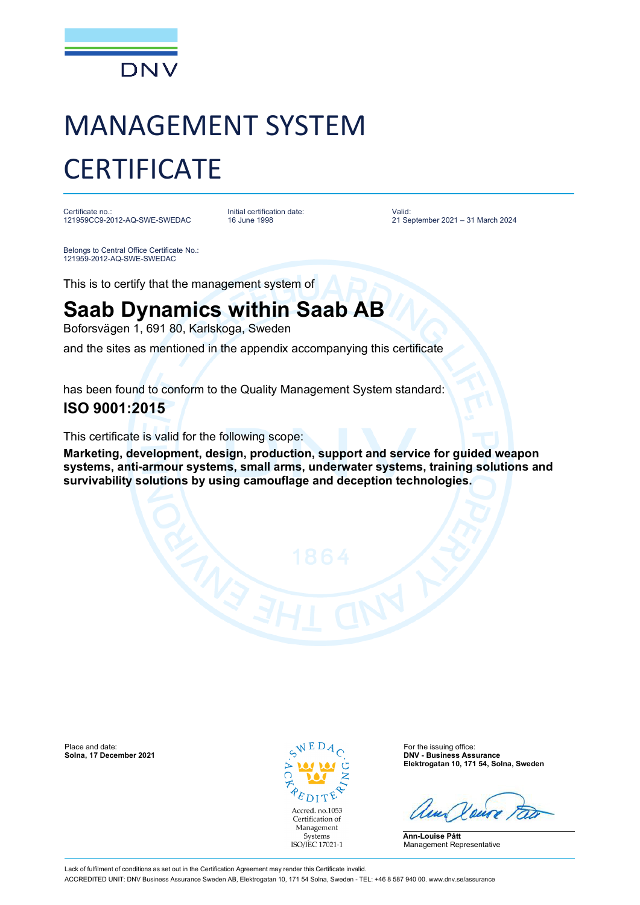

# MANAGEMENT SYSTEM **CERTIFICATE**

Certificate no.: 121959CC9-2012-AQ-SWE-SWEDAC Initial certification date: 16 June 1998

Valid: 21 September 2021 – 31 March 2024

Belongs to Central Office Certificate No.: 121959-2012-AQ-SWE-SWEDAC

This is to certify that the management system of

## **Saab Dynamics within Saab AB**

Boforsvägen 1, 691 80, Karlskoga, Sweden

and the sites as mentioned in the appendix accompanying this certificate

has been found to conform to the Quality Management System standard:

### **ISO 9001:2015**

This certificate is valid for the following scope:

**Marketing, development, design, production, support and service for guided weapon systems, anti-armour systems, small arms, underwater systems, training solutions and survivability solutions by using camouflage and deception technologies.**

Place and date: **For the issuing office:**  $\sim$  N E D  $A$   $\sim$  For the issuing office: **Solna, 17 December 2021** 



**Solna, 17 December 2021 DNV - Business Assurance Elektrogatan 10, 171 54, Solna, Sweden**

**Ann-Louise Pått** Management Representative

Lack of fulfilment of conditions as set out in the Certification Agreement may render this Certificate invalid. ACCREDITED UNIT: DNV Business Assurance Sweden AB, Elektrogatan 10, 171 54 Solna, Sweden - TEL: +46 8 587 940 00. www.dnv.se/assurance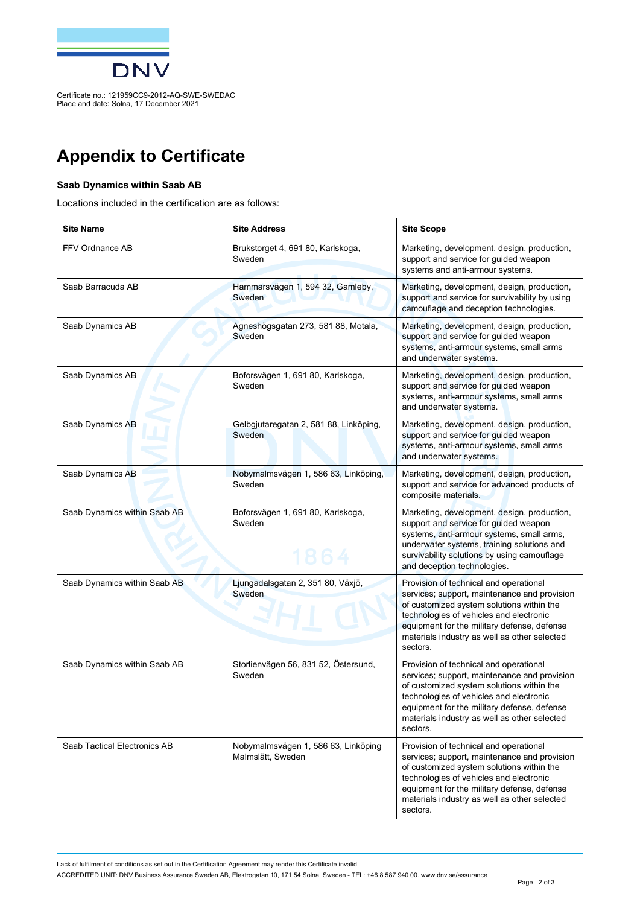

Certificate no.: 121959CC9-2012-AQ-SWE-SWEDAC Place and date: Solna, 17 December 2021

## **Appendix to Certificate**

#### **Saab Dynamics within Saab AB**

Locations included in the certification are as follows:

| <b>Site Name</b>             | <b>Site Address</b>                                      | <b>Site Scope</b>                                                                                                                                                                                                                                                                         |
|------------------------------|----------------------------------------------------------|-------------------------------------------------------------------------------------------------------------------------------------------------------------------------------------------------------------------------------------------------------------------------------------------|
| FFV Ordnance AB              | Brukstorget 4, 691 80, Karlskoga,<br>Sweden              | Marketing, development, design, production,<br>support and service for quided weapon<br>systems and anti-armour systems.                                                                                                                                                                  |
| Saab Barracuda AB            | Hammarsvägen 1, 594 32, Gamleby,<br>Sweden               | Marketing, development, design, production,<br>support and service for survivability by using<br>camouflage and deception technologies.                                                                                                                                                   |
| Saab Dynamics AB             | Agneshögsgatan 273, 581 88, Motala,<br>Sweden            | Marketing, development, design, production,<br>support and service for guided weapon<br>systems, anti-armour systems, small arms<br>and underwater systems.                                                                                                                               |
| Saab Dynamics AB             | Boforsvägen 1, 691 80, Karlskoga,<br>Sweden              | Marketing, development, design, production,<br>support and service for guided weapon<br>systems, anti-armour systems, small arms<br>and underwater systems.                                                                                                                               |
| Saab Dynamics AB             | Gelbgjutaregatan 2, 581 88, Linköping,<br>Sweden         | Marketing, development, design, production,<br>support and service for quided weapon<br>systems, anti-armour systems, small arms<br>and underwater systems.                                                                                                                               |
| Saab Dynamics AB             | Nobymalmsvägen 1, 586 63, Linköping,<br>Sweden           | Marketing, development, design, production,<br>support and service for advanced products of<br>composite materials.                                                                                                                                                                       |
| Saab Dynamics within Saab AB | Boforsvägen 1, 691 80, Karlskoga,<br>Sweden<br>1864      | Marketing, development, design, production,<br>support and service for guided weapon<br>systems, anti-armour systems, small arms,<br>underwater systems, training solutions and<br>survivability solutions by using camouflage<br>and deception technologies.                             |
| Saab Dynamics within Saab AB | Ljungadalsgatan 2, 351 80, Växjö,<br>Sweden              | Provision of technical and operational<br>services; support, maintenance and provision<br>of customized system solutions within the<br>technologies of vehicles and electronic<br>equipment for the military defense, defense<br>materials industry as well as other selected<br>sectors. |
| Saab Dynamics within Saab AB | Storlienvägen 56, 831 52, Östersund,<br>Sweden           | Provision of technical and operational<br>services; support, maintenance and provision<br>of customized system solutions within the<br>technologies of vehicles and electronic<br>equipment for the military defense, defense<br>materials industry as well as other selected<br>sectors. |
| Saab Tactical Electronics AB | Nobymalmsvägen 1, 586 63, Linköping<br>Malmslätt, Sweden | Provision of technical and operational<br>services; support, maintenance and provision<br>of customized system solutions within the<br>technologies of vehicles and electronic<br>equipment for the military defense, defense<br>materials industry as well as other selected<br>sectors. |

Lack of fulfilment of conditions as set out in the Certification Agreement may render this Certificate invalid.

ACCREDITED UNIT: DNV Business Assurance Sweden AB, Elektrogatan 10, 171 54 Solna, Sweden - TEL: +46 8 587 940 00. www.dnv.se/assurance